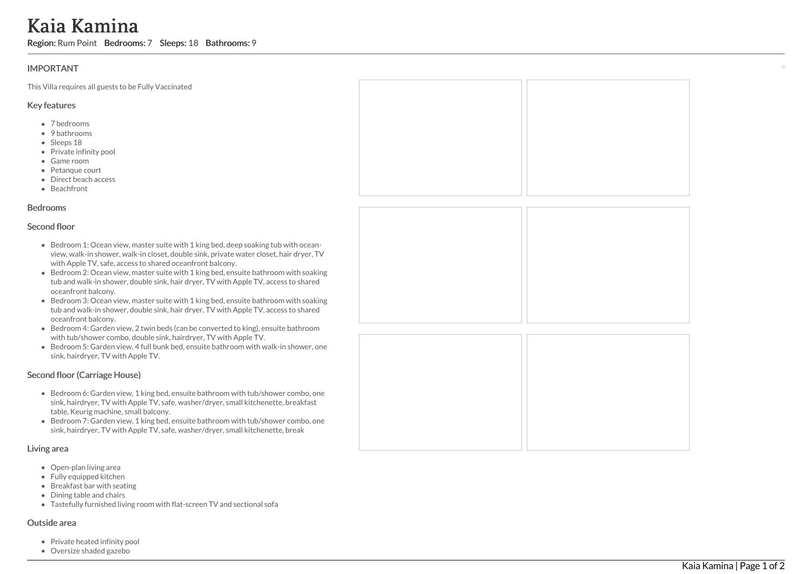# Kaia Kamina

Region: Rum Point Bedrooms: 7 Sleeps: 18 Bathrooms: 9

## **IMPORTANT**

This Villa requires all guests to be Fully Vaccinated

### Key features

- 7 b e d r o o m s
- 9 bathrooms
- Sleeps 18
- Private infinity pool
- Game room
- Petanque court
- Direct beach access
- Beachfront

#### **Bedrooms**

#### Second floor

- Bedroom 1: Ocean view, master suite with 1 king bed, deep soaking tub with oceanview, walk-in shower, walk-in closet, double sink, private water closet, hair dryer, TV with Apple TV, safe, access to shared oceanfront balcony.
- Bedroom 2: Ocean view, master suite with 1 king bed, ensuite bathroom with soaking tub and walk-in shower, double sink, hair dryer, TV with Apple TV, access to shared oceanfront balcony.
- Bedroom 3: Ocean view, master suite with 1 king bed, ensuite bathroom with soaking tub and walk-in shower, double sink, hair dryer, TV with Apple TV, access to shared oceanfront balcony.
- Bedroom 4: Garden view, 2 twin beds (can be converted to king), ensuite bathroom with tub/shower combo, double sink, hairdryer, TV with Apple TV.
- Bedroom 5: Garden view, 4 full bunk bed, ensuite bathroom with walk-in shower, one sink, hairdryer, TV with Apple TV.

# Second floor (Carriage House)

- Bedroom 6: Garden view, 1 king bed, ensuite bathroom with tub/shower combo, one sink, hairdryer, TV with Apple TV, safe, washer/dryer, small kitchenette, breakfast table, Keurig machine, small balcony.
- Bedroom 7: Garden view, 1 king bed, ensuite bathroom with tub/shower combo, one sink, hairdryer, TV with Apple TV, safe, washer/dryer, small kitchenette, break

#### Living area

- Open-plan living area
- Fully equipped kitchen
- Breakfast bar with seating
- Dining table and chairs
- Tastefully furnished living room with flat-screen TV and sectional sofa

#### Outside area

- Private heated infinity pool
- Oversize shaded gazebo